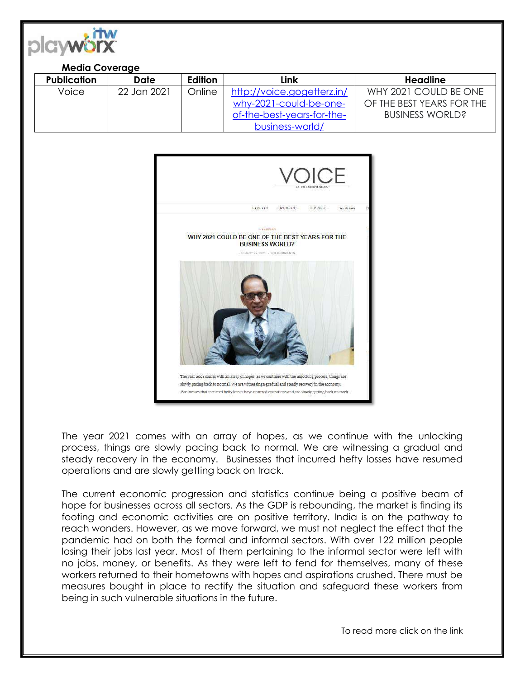

## **Media Coverage**

| <b>Publication</b> | Date        | Edition | Link                       | Headline                  |
|--------------------|-------------|---------|----------------------------|---------------------------|
| Voice              | 22 Jan 2021 | Online  | http://voice.gogetterz.in/ | WHY 2021 COULD BE ONE     |
|                    |             |         | why-2021-could-be-one-     | OF THE BEST YEARS FOR THE |
|                    |             |         | of-the-best-years-for-the- | <b>BUSINESS WORLD?</b>    |
|                    |             |         | business-world/            |                           |



The year 2021 comes with an array of hopes, as we continue with the unlocking process, things are slowly pacing back to normal. We are witnessing a gradual and steady recovery in the economy. Businesses that incurred hefty losses have resumed operations and are slowly getting back on track.

The current economic progression and statistics continue being a positive beam of hope for businesses across all sectors. As the GDP is rebounding, the market is finding its footing and economic activities are on positive territory. India is on the pathway to reach wonders. However, as we move forward, we must not neglect the effect that the pandemic had on both the formal and informal sectors. With over 122 million people losing their jobs last year. Most of them pertaining to the informal sector were left with no jobs, money, or benefits. As they were left to fend for themselves, many of these workers returned to their hometowns with hopes and aspirations crushed. There must be measures bought in place to rectify the situation and safeguard these workers from being in such vulnerable situations in the future.

To read more click on the link